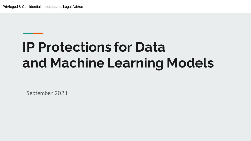# **IP Protections for Data and Machine Learning Models**

September 2021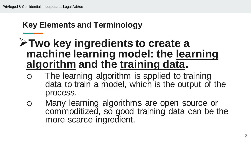### **Key Elements and Terminology**

## **Two key ingredients to create a machine learning model: the learning algorithm and the training data.**

- o The learning algorithm is applied to training data to train a model, which is the output of the process.
- o Many learning algorithms are open source or commoditized, so good training data can be the more scarce ingredient.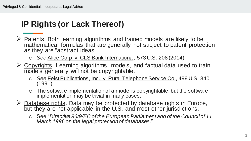#### **IP Rights (or Lack Thereof)**

- $\triangleright$  Patents. Both learning algorithms and trained models are likely to be mathematical formulas that are generally not subject to patent protection as they are "abstract ideas".
	- o *See* Alice Corp. v. CLS Bank International, 573 U.S. 208 (2014).
- $\triangleright$  Copyrights. Learning algorithms, models, and factual data used to train models generally will not be copyrightable.
	- o *See* Feist Publications, Inc., v. Rural Telephone Service Co., 499 U.S. 340 (1991).
	- $\circ$  The software implementation of a model is copyrightable, but the software implementation may be trivial in many cases.
- $\triangleright$  Database rights. Data may be protected by database rights in Europe, but they are not applicable in the U.S. and most other jurisdictions.
	- o See "*Directive 96/9/EC of the European Parliament and of the Council of 11 March 1996 on the legal protection of databases.*"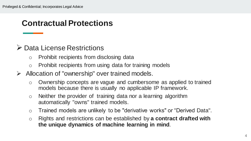#### **Contractual Protections**

#### Data License Restrictions

- o Prohibit recipients from disclosing data
- o Prohibit recipients from using data for training models
- $\triangleright$  Allocation of "ownership" over trained models.
	- o Ownership concepts are vague and cumbersome as applied to trained models because there is usually no applicable IP framework.
	- o Neither the provider of training data nor a learning algorithm automatically "owns" trained models.
	- o Trained models are unlikely to be "derivative works" or "Derived Data".
	- o Rights and restrictions can be established by **a contract drafted with the unique dynamics of machine learning in mind**.